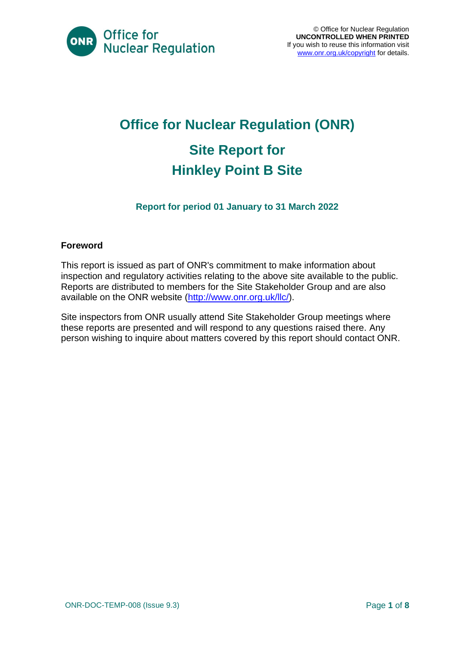

# **Office for Nuclear Regulation (ONR) Site Report for Hinkley Point B Site**

### **Report for period 01 January to 31 March 2022**

#### **Foreword**

This report is issued as part of ONR's commitment to make information about inspection and regulatory activities relating to the above site available to the public. Reports are distributed to members for the Site Stakeholder Group and are also available on the ONR website [\(http://www.onr.org.uk/llc/\)](http://www.onr.org.uk/llc/).

Site inspectors from ONR usually attend Site Stakeholder Group meetings where these reports are presented and will respond to any questions raised there. Any person wishing to inquire about matters covered by this report should contact ONR.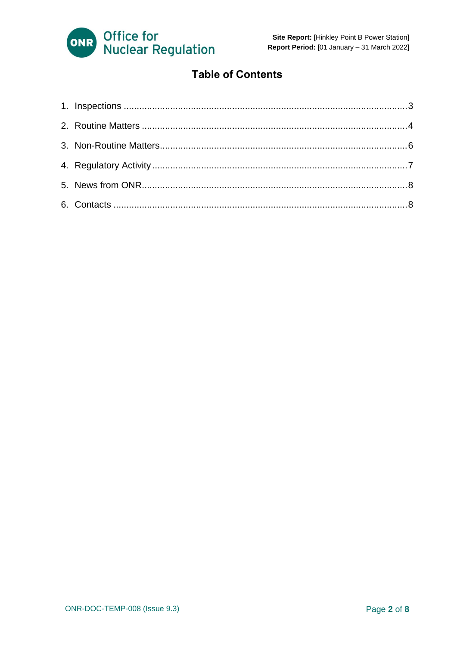

### **Table of Contents**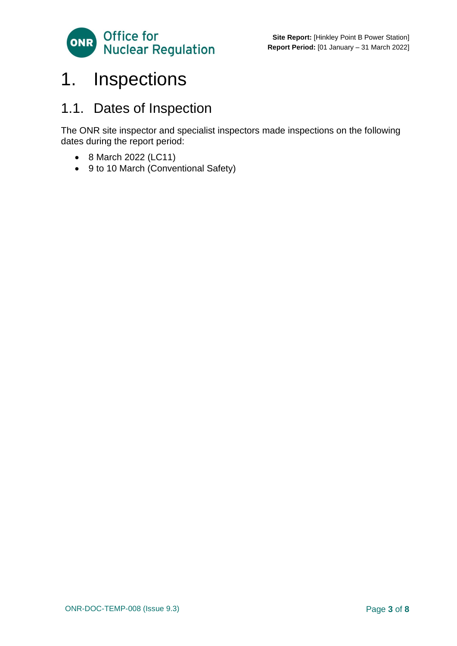

## <span id="page-2-0"></span>1. Inspections

### 1.1. Dates of Inspection

The ONR site inspector and specialist inspectors made inspections on the following dates during the report period:

- 8 March 2022 (LC11)
- <span id="page-2-1"></span>• 9 to 10 March (Conventional Safety)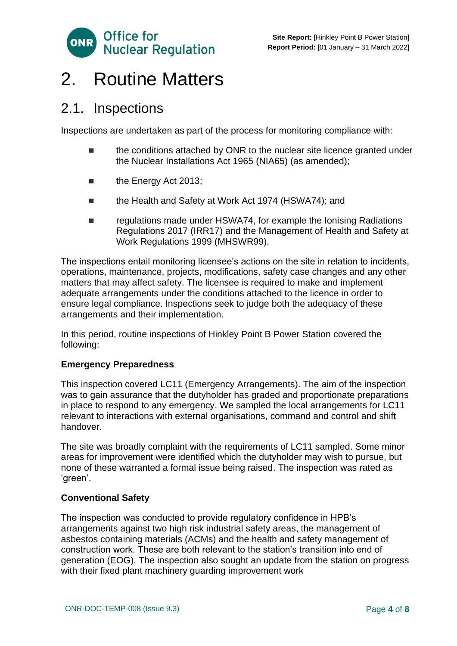

## 2. Routine Matters

### 2.1. Inspections

Inspections are undertaken as part of the process for monitoring compliance with:

- the conditions attached by ONR to the nuclear site licence granted under the Nuclear Installations Act 1965 (NIA65) (as amended);
- the Energy Act 2013;
- the Health and Safety at Work Act 1974 (HSWA74); and
- regulations made under HSWA74, for example the Ionising Radiations Regulations 2017 (IRR17) and the Management of Health and Safety at Work Regulations 1999 (MHSWR99).

The inspections entail monitoring licensee's actions on the site in relation to incidents, operations, maintenance, projects, modifications, safety case changes and any other matters that may affect safety. The licensee is required to make and implement adequate arrangements under the conditions attached to the licence in order to ensure legal compliance. Inspections seek to judge both the adequacy of these arrangements and their implementation.

In this period, routine inspections of Hinkley Point B Power Station covered the following:

#### **Emergency Preparedness**

This inspection covered LC11 (Emergency Arrangements). The aim of the inspection was to gain assurance that the dutyholder has graded and proportionate preparations in place to respond to any emergency. We sampled the local arrangements for LC11 relevant to interactions with external organisations, command and control and shift handover.

The site was broadly complaint with the requirements of LC11 sampled. Some minor areas for improvement were identified which the dutyholder may wish to pursue, but none of these warranted a formal issue being raised. The inspection was rated as 'green'.

#### **Conventional Safety**

The inspection was conducted to provide regulatory confidence in HPB's arrangements against two high risk industrial safety areas, the management of asbestos containing materials (ACMs) and the health and safety management of construction work. These are both relevant to the station's transition into end of generation (EOG). The inspection also sought an update from the station on progress with their fixed plant machinery guarding improvement work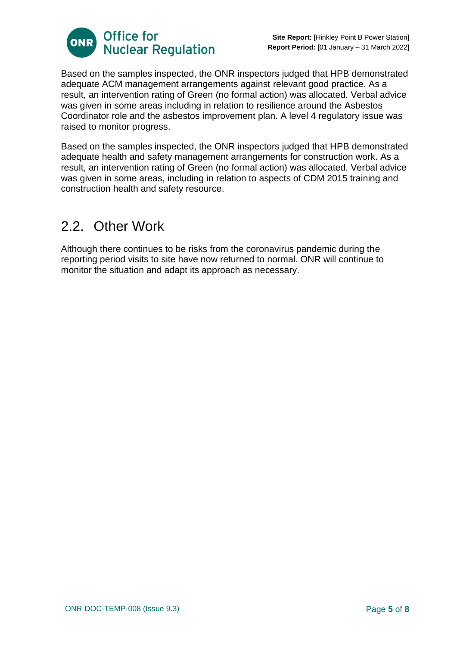

Based on the samples inspected, the ONR inspectors judged that HPB demonstrated adequate ACM management arrangements against relevant good practice. As a result, an intervention rating of Green (no formal action) was allocated. Verbal advice was given in some areas including in relation to resilience around the Asbestos Coordinator role and the asbestos improvement plan. A level 4 regulatory issue was raised to monitor progress.

Based on the samples inspected, the ONR inspectors judged that HPB demonstrated adequate health and safety management arrangements for construction work. As a result, an intervention rating of Green (no formal action) was allocated. Verbal advice was given in some areas, including in relation to aspects of CDM 2015 training and construction health and safety resource.

### 2.2. Other Work

Although there continues to be risks from the coronavirus pandemic during the reporting period visits to site have now returned to normal. ONR will continue to monitor the situation and adapt its approach as necessary.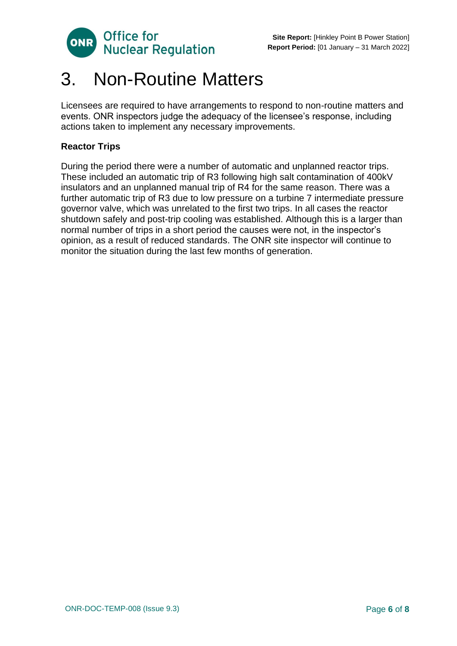

## <span id="page-5-0"></span>3. Non-Routine Matters

Licensees are required to have arrangements to respond to non-routine matters and events. ONR inspectors judge the adequacy of the licensee's response, including actions taken to implement any necessary improvements.

#### **Reactor Trips**

During the period there were a number of automatic and unplanned reactor trips. These included an automatic trip of R3 following high salt contamination of 400kV insulators and an unplanned manual trip of R4 for the same reason. There was a further automatic trip of R3 due to low pressure on a turbine 7 intermediate pressure governor valve, which was unrelated to the first two trips. In all cases the reactor shutdown safely and post-trip cooling was established. Although this is a larger than normal number of trips in a short period the causes were not, in the inspector's opinion, as a result of reduced standards. The ONR site inspector will continue to monitor the situation during the last few months of generation.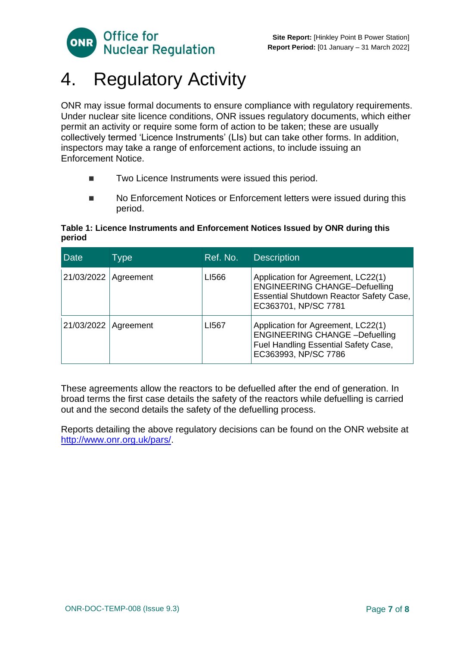

# <span id="page-6-0"></span>4. Regulatory Activity

ONR may issue formal documents to ensure compliance with regulatory requirements. Under nuclear site licence conditions, ONR issues regulatory documents, which either permit an activity or require some form of action to be taken; these are usually collectively termed 'Licence Instruments' (LIs) but can take other forms. In addition, inspectors may take a range of enforcement actions, to include issuing an Enforcement Notice.

- Two Licence Instruments were issued this period.
- No Enforcement Notices or Enforcement letters were issued during this period.

#### **Table 1: Licence Instruments and Enforcement Notices Issued by ONR during this period**

| Date       | Type      | Ref. No. | <b>Description</b>                                                                                                                                   |
|------------|-----------|----------|------------------------------------------------------------------------------------------------------------------------------------------------------|
| 21/03/2022 | Agreement | LI566    | Application for Agreement, LC22(1)<br><b>ENGINEERING CHANGE-Defuelling</b><br><b>Essential Shutdown Reactor Safety Case,</b><br>EC363701, NP/SC 7781 |
| 21/03/2022 | Agreement | LI567    | Application for Agreement, LC22(1)<br><b>ENGINEERING CHANGE -Defuelling</b><br>Fuel Handling Essential Safety Case,<br>EC363993, NP/SC 7786          |

These agreements allow the reactors to be defuelled after the end of generation. In broad terms the first case details the safety of the reactors while defuelling is carried out and the second details the safety of the defuelling process.

Reports detailing the above regulatory decisions can be found on the ONR website at [http://www.onr.org.uk/pars/.](http://www.onr.org.uk/pars/)